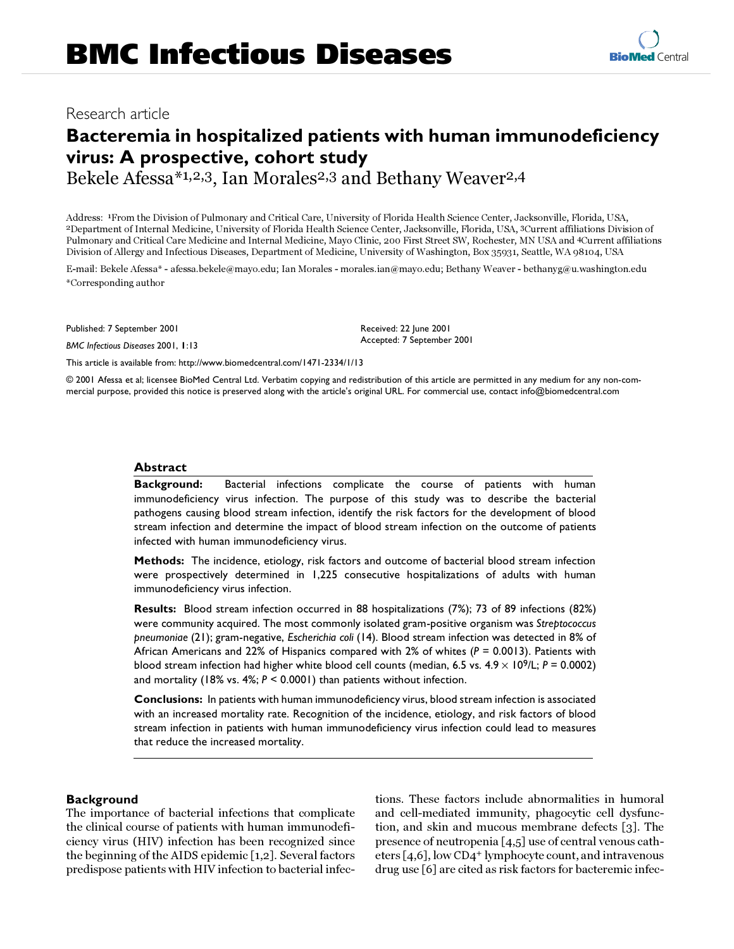# **Bacteremia in hospitalized patients with human immunodeficiency virus: A prospective, cohort study**

Bekele Afessa<sup>\*1,2,3</sup>, Ian Morales<sup>2,3</sup> and Bethany Weaver<sup>2,4</sup>

Address: 1From the Division of Pulmonary and Critical Care, University of Florida Health Science Center, Jacksonville, Florida, USA, 2Department of Internal Medicine, University of Florida Health Science Center, Jacksonville, Florida, USA, 3Current affiliations Division of Pulmonary and Critical Care Medicine and Internal Medicine, Mayo Clinic, 200 First Street SW, Rochester, MN USA and 4Current affiliations Division of Allergy and Infectious Diseases, Department of Medicine, University of Washington, Box 35931, Seattle, WA 98104, USA

E-mail: Bekele Afessa\* - afessa.bekele@mayo.edu; Ian Morales - morales.ian@mayo.edu; Bethany Weaver - bethanyg@u.washington.edu \*Corresponding author

Published: 7 September 2001

*BMC Infectious Diseases* 2001, **1**:13

Received: 22 June 2001 Accepted: 7 September 2001

[This article is available from: http://www.biomedcentral.com/1471-2334/1/13](http://www.biomedcentral.com/1471-2334/1/13)

© 2001 Afessa et al; licensee BioMed Central Ltd. Verbatim copying and redistribution of this article are permitted in any medium for any non-commercial purpose, provided this notice is preserved along with the article's original URL. For commercial use, contact info@biomedcentral.com

## **Abstract**

**Background:** Bacterial infections complicate the course of patients with human immunodeficiency virus infection. The purpose of this study was to describe the bacterial pathogens causing blood stream infection, identify the risk factors for the development of blood stream infection and determine the impact of blood stream infection on the outcome of patients infected with human immunodeficiency virus.

**Methods:** The incidence, etiology, risk factors and outcome of bacterial blood stream infection were prospectively determined in 1,225 consecutive hospitalizations of adults with human immunodeficiency virus infection.

**Results:** Blood stream infection occurred in 88 hospitalizations (7%); 73 of 89 infections (82%) were community acquired. The most commonly isolated gram-positive organism was *Streptococcus pneumoniae* (21); gram-negative, *Escherichia coli* (14). Blood stream infection was detected in 8% of African Americans and 22% of Hispanics compared with 2% of whites (*P* = 0.0013). Patients with blood stream infection had higher white blood cell counts (median, 6.5 vs.  $4.9 \times 10^9$ /L;  $P = 0.0002$ ) and mortality (18% vs. 4%; *P* < 0.0001) than patients without infection.

**Conclusions:** In patients with human immunodeficiency virus, blood stream infection is associated with an increased mortality rate. Recognition of the incidence, etiology, and risk factors of blood stream infection in patients with human immunodeficiency virus infection could lead to measures that reduce the increased mortality.

## **Background**

The importance of bacterial infections that complicate the clinical course of patients with human immunodeficiency virus (HIV) infection has been recognized since the beginning of the AIDS epidemic [[1](#page-5-0)[,2](#page-5-1)]. Several factors predispose patients with HIV infection to bacterial infections. These factors include abnormalities in humoral and cell-mediated immunity, phagocytic cell dysfunction, and skin and mucous membrane defects [\[3](#page-5-2)]. The presence of neutropenia [[4](#page-5-3)[,5](#page-5-4)] use of central venous catheters [[4](#page-5-3),[6](#page-5-5)], low CD4+ lymphocyte count, and intravenous drug use [\[6\]](#page-5-5) are cited as risk factors for bacteremic infec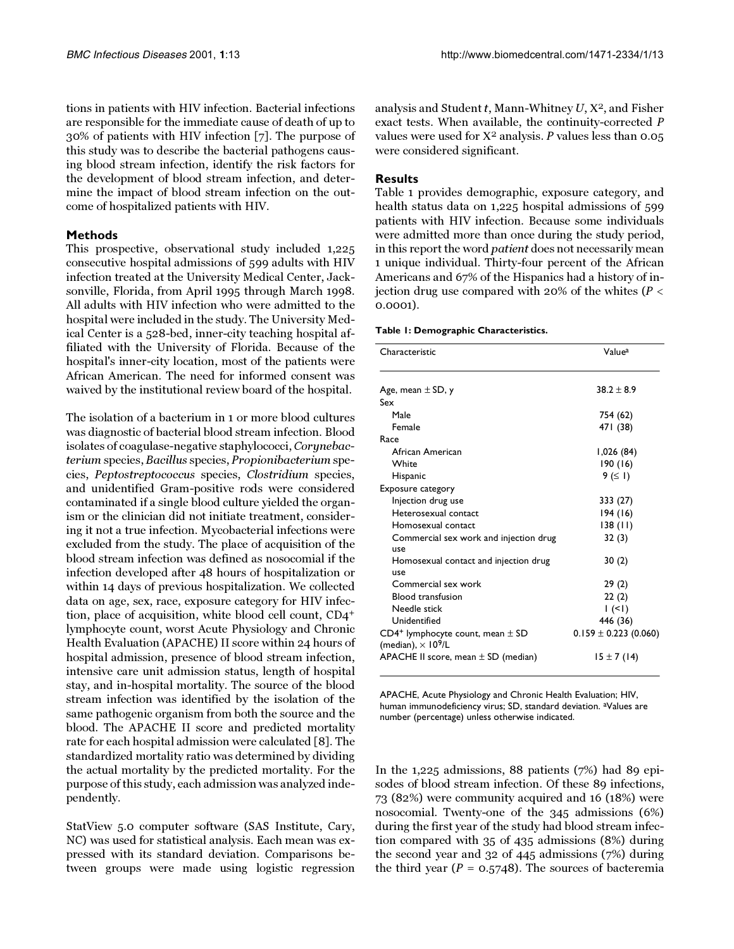tions in patients with HIV infection. Bacterial infections are responsible for the immediate cause of death of up to 30% of patients with HIV infection [[7\]](#page-6-0). The purpose of this study was to describe the bacterial pathogens causing blood stream infection, identify the risk factors for the development of blood stream infection, and determine the impact of blood stream infection on the outcome of hospitalized patients with HIV.

#### **Methods**

This prospective, observational study included 1,225 consecutive hospital admissions of 599 adults with HIV infection treated at the University Medical Center, Jacksonville, Florida, from April 1995 through March 1998. All adults with HIV infection who were admitted to the hospital were included in the study. The University Medical Center is a 528-bed, inner-city teaching hospital affiliated with the University of Florida. Because of the hospital's inner-city location, most of the patients were African American. The need for informed consent was waived by the institutional review board of the hospital.

The isolation of a bacterium in 1 or more blood cultures was diagnostic of bacterial blood stream infection. Blood isolates of coagulase-negative staphylococci, Corynebacterium species, Bacillus species, Propionibacterium species, Peptostreptococcus species, Clostridium species, and unidentified Gram-positive rods were considered contaminated if a single blood culture yielded the organism or the clinician did not initiate treatment, considering it not a true infection. Mycobacterial infections were excluded from the study. The place of acquisition of the blood stream infection was defined as nosocomial if the infection developed after 48 hours of hospitalization or within 14 days of previous hospitalization. We collected data on age, sex, race, exposure category for HIV infection, place of acquisition, white blood cell count, CD4+ lymphocyte count, worst Acute Physiology and Chronic Health Evaluation (APACHE) II score within 24 hours of hospital admission, presence of blood stream infection, intensive care unit admission status, length of hospital stay, and in-hospital mortality. The source of the blood stream infection was identified by the isolation of the same pathogenic organism from both the source and the blood. The APACHE II score and predicted mortality rate for each hospital admission were calculated [\[8](#page-6-1)]. The standardized mortality ratio was determined by dividing the actual mortality by the predicted mortality. For the purpose of this study, each admission was analyzed independently.

StatView 5.0 computer software (SAS Institute, Cary, NC) was used for statistical analysis. Each mean was expressed with its standard deviation. Comparisons between groups were made using logistic regression

analysis and Student  $t$ , Mann-Whitney  $U$ ,  $X^2$ , and Fisher exact tests. When available, the continuity-corrected P values were used for  $X^2$  analysis. P values less than 0.05 were considered significant.

### **Results**

<span id="page-1-0"></span>Table [1](#page-1-0) provides demographic, exposure category, and health status data on 1,225 hospital admissions of 599 patients with HIV infection. Because some individuals were admitted more than once during the study period, in this report the word patient does not necessarily mean 1 unique individual. Thirty-four percent of the African Americans and 67% of the Hispanics had a history of injection drug use compared with 20% of the whites ( $P <$ 0.0001).

#### **Table 1: Demographic Characteristics.**

| Characteristic                                                                   | Value <sup>a</sup>        |
|----------------------------------------------------------------------------------|---------------------------|
| Age, mean $\pm$ SD, y                                                            | $38.2 \pm 8.9$            |
| Sex                                                                              |                           |
| Male                                                                             | 754 (62)                  |
| Female                                                                           | 471 (38)                  |
| Race                                                                             |                           |
| African American                                                                 | 1,026 (84)                |
| White                                                                            | 190(16)                   |
| Hispanic                                                                         | 9 ( $\leq$ 1)             |
| Exposure category                                                                |                           |
| Injection drug use                                                               | 333 (27)                  |
| Heterosexual contact                                                             | 194(16)                   |
| Homosexual contact                                                               | 138(11)                   |
| Commercial sex work and injection drug<br>use                                    | 32(3)                     |
| Homosexual contact and injection drug<br>use                                     | 30(2)                     |
| Commercial sex work                                                              | 29(2)                     |
| <b>Blood transfusion</b>                                                         | 22(2)                     |
| Needle stick                                                                     | (1)                       |
| Unidentified                                                                     | 446 (36)                  |
| $CD4^+$ lymphocyte count, mean $\pm$ SD<br>(median), $\times$ 10 <sup>9</sup> /L | $0.159 \pm 0.223$ (0.060) |
| APACHE II score, mean $\pm$ SD (median)                                          | $15 \pm 7(14)$            |

APACHE, Acute Physiology and Chronic Health Evaluation; HIV, human immunodeficiency virus; SD, standard deviation. aValues are number (percentage) unless otherwise indicated.

In the 1,225 admissions, 88 patients (7%) had 89 episodes of blood stream infection. Of these 89 infections, 73 (82%) were community acquired and 16 (18%) were nosocomial. Twenty-one of the 345 admissions (6%) during the first year of the study had blood stream infection compared with 35 of 435 admissions (8%) during the second year and 32 of 445 admissions (7%) during the third year ( $P = 0.5748$ ). The sources of bacteremia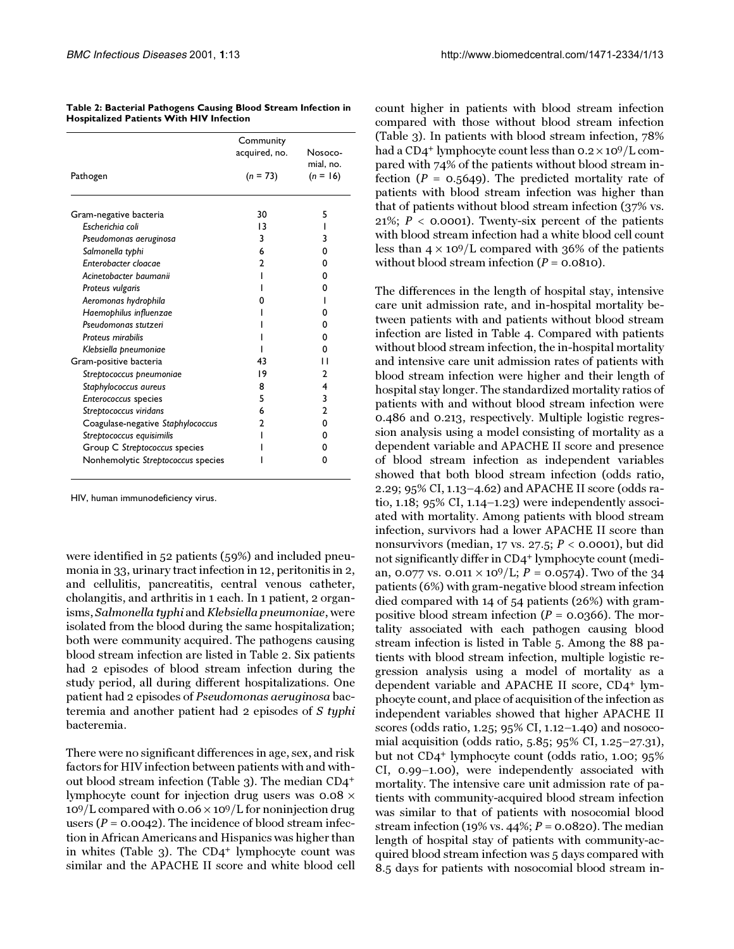|                                    | Community     | Nosoco-<br>mial, no. |
|------------------------------------|---------------|----------------------|
| Pathogen                           | acquired, no. |                      |
|                                    | $(n = 73)$    | $(n = 16)$           |
| Gram-negative bacteria             | 30            | 5                    |
| Escherichia coli                   | 13            |                      |
| Pseudomonas aeruginosa             | 3             | 3                    |
| Salmonella typhi                   | 6             | 0                    |
| Enterobacter cloacae               | 2             | 0                    |
| Acinetobacter baumanii             |               | 0                    |
| Proteus vulgaris                   |               | 0                    |
| Aeromonas hydrophila               | Ω             |                      |
| Haemophilus influenzae             |               | 0                    |
| Pseudomonas stutzeri               |               | 0                    |
| Proteus mirabilis                  |               | 0                    |
| Klebsiella pneumoniae              |               | 0                    |
| Gram-positive bacteria             | 43            | П                    |
| Streptococcus pneumoniae           | 19            | 2                    |
| Staphylococcus aureus              | 8             | 4                    |
| Enterococcus species               | 5             | 3                    |
| Streptococcus viridans             | 6             | 2                    |
| Coagulase-negative Staphylococcus  | 2             | 0                    |
| Streptococcus equisimilis          |               | 0                    |
| Group C Streptococcus species      |               | 0                    |
| Nonhemolytic Streptococcus species |               | 0                    |

**Table 2: Bacterial Pathogens Causing Blood Stream Infection in Hospitalized Patients With HIV Infection**

HIV, human immunodeficiency virus.

were identified in 52 patients (59%) and included pneumonia in 33, urinary tract infection in 12, peritonitis in 2, and cellulitis, pancreatitis, central venous catheter, cholangitis, and arthritis in 1 each. In 1 patient, 2 organisms, Salmonella typhi and Klebsiella pneumoniae, were isolated from the blood during the same hospitalization; both were community acquired. The pathogens causing blood stream infection are listed in Table [2](#page-1-0). Six patients had 2 episodes of blood stream infection during the study period, all during different hospitalizations. One patient had 2 episodes of Pseudomonas aeruginosa bacteremia and another patient had 2 episodes of S typhi bacteremia.

There were no significant differences in age, sex, and risk factors for HIV infection between patients with and without blood stream infection (Table [3\)](#page-2-0). The median CD4+ lymphocyte count for injection drug users was  $0.08 \times$  $109/L$  compared with 0.06  $\times$  109/L for noninjection drug users ( $P = 0.0042$ ). The incidence of blood stream infection in African Americans and Hispanics was higher than in whites (Table [3\)](#page-2-0). The CD4+ lymphocyte count was similar and the APACHE II score and white blood cell count higher in patients with blood stream infection compared with those without blood stream infection (Table [3](#page-2-0)). In patients with blood stream infection, 78% had a CD4<sup>+</sup> lymphocyte count less than  $0.2 \times 10^9/L$  compared with 74% of the patients without blood stream infection ( $P = 0.5649$ ). The predicted mortality rate of patients with blood stream infection was higher than that of patients without blood stream infection (37% vs. 21%;  $P <$  0.0001). Twenty-six percent of the patients with blood stream infection had a white blood cell count less than  $4 \times 10^9$ /L compared with 36% of the patients without blood stream infection  $(P = 0.0810)$ .

<span id="page-2-0"></span>The differences in the length of hospital stay, intensive care unit admission rate, and in-hospital mortality between patients with and patients without blood stream infection are listed in Table [4](#page-2-0). Compared with patients without blood stream infection, the in-hospital mortality and intensive care unit admission rates of patients with blood stream infection were higher and their length of hospital stay longer. The standardized mortality ratios of patients with and without blood stream infection were 0.486 and 0.213, respectively. Multiple logistic regression analysis using a model consisting of mortality as a dependent variable and APACHE II score and presence of blood stream infection as independent variables showed that both blood stream infection (odds ratio, 2.29; 95% CI, 1.13–4.62) and APACHE II score (odds ratio,  $1.18$ ;  $95\%$  CI,  $1.14-1.23$ ) were independently associated with mortality. Among patients with blood stream infection, survivors had a lower APACHE II score than nonsurvivors (median, 17 vs. 27.5;  $P <$  0.0001), but did not significantly differ in CD4+ lymphocyte count (median, 0.077 vs. 0.011  $\times$  10<sup>9</sup>/L; *P* = 0.0574). Two of the 34 patients (6%) with gram-negative blood stream infection died compared with 14 of 54 patients (26%) with grampositive blood stream infection ( $P = 0.0366$ ). The mortality associated with each pathogen causing blood stream infection is listed in Table [5](#page-3-0). Among the 88 patients with blood stream infection, multiple logistic regression analysis using a model of mortality as a dependent variable and APACHE II score, CD4+ lymphocyte count, and place of acquisition of the infection as independent variables showed that higher APACHE II scores (odds ratio, 1.25; 95% CI, 1.12–1.40) and nosocomial acquisition (odds ratio, 5.85; 95% CI, 1.25–27.31), but not CD4+ lymphocyte count (odds ratio, 1.00; 95% CI, 0.99–1.00), were independently associated with mortality. The intensive care unit admission rate of patients with community-acquired blood stream infection was similar to that of patients with nosocomial blood stream infection (19% vs. 44%;  $P = 0.0820$ ). The median length of hospital stay of patients with community-acquired blood stream infection was 5 days compared with 8.5 days for patients with nosocomial blood stream in-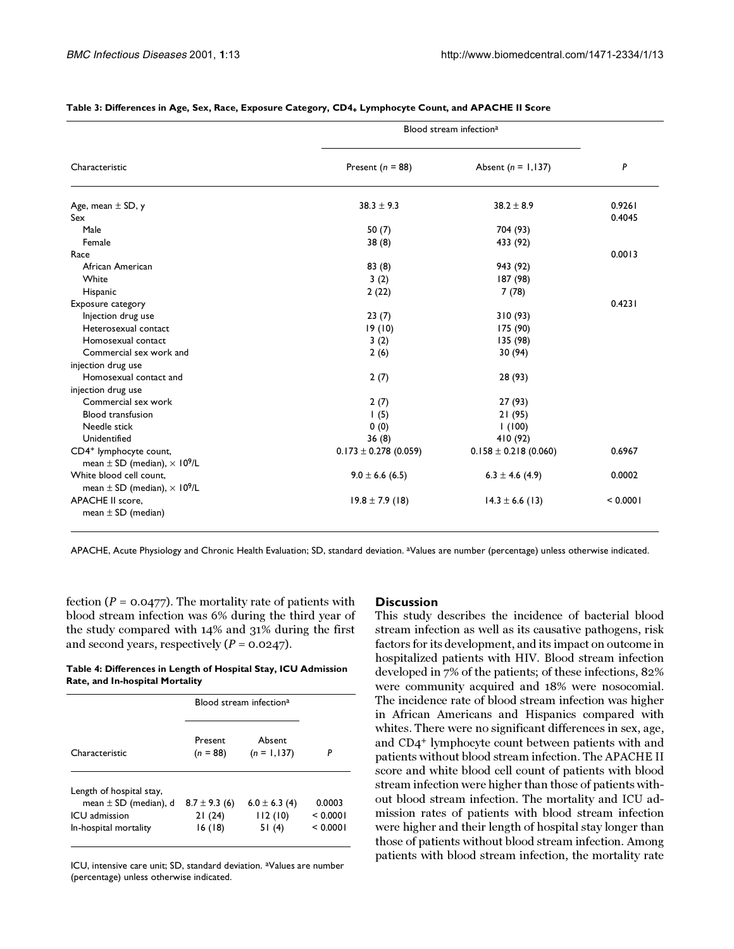|                                                     | Blood stream infection <sup>a</sup> |                           |          |
|-----------------------------------------------------|-------------------------------------|---------------------------|----------|
| Characteristic                                      | Present ( $n = 88$ )                | Absent ( $n = 1,137$ )    | P        |
| Age, mean $\pm$ SD, y                               | $38.3 \pm 9.3$                      | $38.2 \pm 8.9$            | 0.9261   |
| Sex                                                 |                                     |                           | 0.4045   |
| Male                                                | 50 $(7)$                            | 704 (93)                  |          |
| Female                                              | 38(8)                               | 433 (92)                  |          |
| Race                                                |                                     |                           | 0.0013   |
| African American                                    | 83(8)                               | 943 (92)                  |          |
| White                                               | 3(2)                                | 187 (98)                  |          |
| Hispanic                                            | 2(22)                               | 7(78)                     |          |
| Exposure category                                   |                                     |                           | 0.4231   |
| Injection drug use                                  | 23(7)                               | 310(93)                   |          |
| Heterosexual contact                                | 19(10)                              | 175 (90)                  |          |
| Homosexual contact                                  | 3(2)                                | 135 (98)                  |          |
| Commercial sex work and                             | 2(6)                                | 30(94)                    |          |
| injection drug use                                  |                                     |                           |          |
| Homosexual contact and                              | 2(7)                                | 28 (93)                   |          |
| injection drug use                                  |                                     |                           |          |
| Commercial sex work                                 | 2(7)                                | 27(93)                    |          |
| <b>Blood transfusion</b>                            | 1(5)                                | 21(95)                    |          |
| Needle stick                                        | 0(0)                                | 1(100)                    |          |
| Unidentified                                        | 36(8)                               | 410 (92)                  |          |
| CD4 <sup>+</sup> lymphocyte count,                  | $0.173 \pm 0.278$ (0.059)           | $0.158 \pm 0.218 (0.060)$ | 0.6967   |
| mean $\pm$ SD (median), $\times$ 10 <sup>9</sup> /L |                                     |                           |          |
| White blood cell count,                             | $9.0 \pm 6.6$ (6.5)                 | $6.3 \pm 4.6$ (4.9)       | 0.0002   |
| mean $\pm$ SD (median), $\times$ 10 <sup>9</sup> /L |                                     |                           |          |
| <b>APACHE II score.</b>                             | $19.8 \pm 7.9$ (18)                 | $14.3 \pm 6.6$ (13)       | < 0.0001 |
| mean $\pm$ SD (median)                              |                                     |                           |          |

#### Table 3: Differences in Age, Sex, Race, Exposure Category, CD4<sub>+</sub> Lymphocyte Count, and APACHE II Score

APACHE, Acute Physiology and Chronic Health Evaluation; SD, standard deviation. aValues are number (percentage) unless otherwise indicated.

fection ( $P = 0.0477$ ). The mortality rate of patients with blood stream infection was 6% during the third year of the study compared with 14% and 31% during the first and second years, respectively  $(P = 0.0247)$ .

**Table 4: Differences in Length of Hospital Stay, ICU Admission Rate, and In-hospital Mortality**

|                                                                        | Blood stream infection <sup>a</sup> |                              |                    |
|------------------------------------------------------------------------|-------------------------------------|------------------------------|--------------------|
| Characteristic                                                         | Present<br>$(n = 88)$               | Absent<br>$(n = 1, 137)$     | P                  |
| Length of hospital stay,<br>mean $\pm$ SD (median), d<br>ICU admission | $8.7 \pm 9.3$ (6)<br>21(24)         | $6.0 \pm 6.3$ (4)<br>112(10) | 0.0003<br>< 0.0001 |
| In-hospital mortality                                                  | 16(18)                              | 51(4)                        | < 0.0001           |

ICU, intensive care unit; SD, standard deviation. aValues are number (percentage) unless otherwise indicated.

#### **Discussion**

<span id="page-3-0"></span>This study describes the incidence of bacterial blood stream infection as well as its causative pathogens, risk factors for its development, and its impact on outcome in hospitalized patients with HIV. Blood stream infection developed in 7% of the patients; of these infections, 82% were community acquired and 18% were nosocomial. The incidence rate of blood stream infection was higher in African Americans and Hispanics compared with whites. There were no significant differences in sex, age, and CD4+ lymphocyte count between patients with and patients without blood stream infection. The APACHE II score and white blood cell count of patients with blood stream infection were higher than those of patients without blood stream infection. The mortality and ICU admission rates of patients with blood stream infection were higher and their length of hospital stay longer than those of patients without blood stream infection. Among patients with blood stream infection, the mortality rate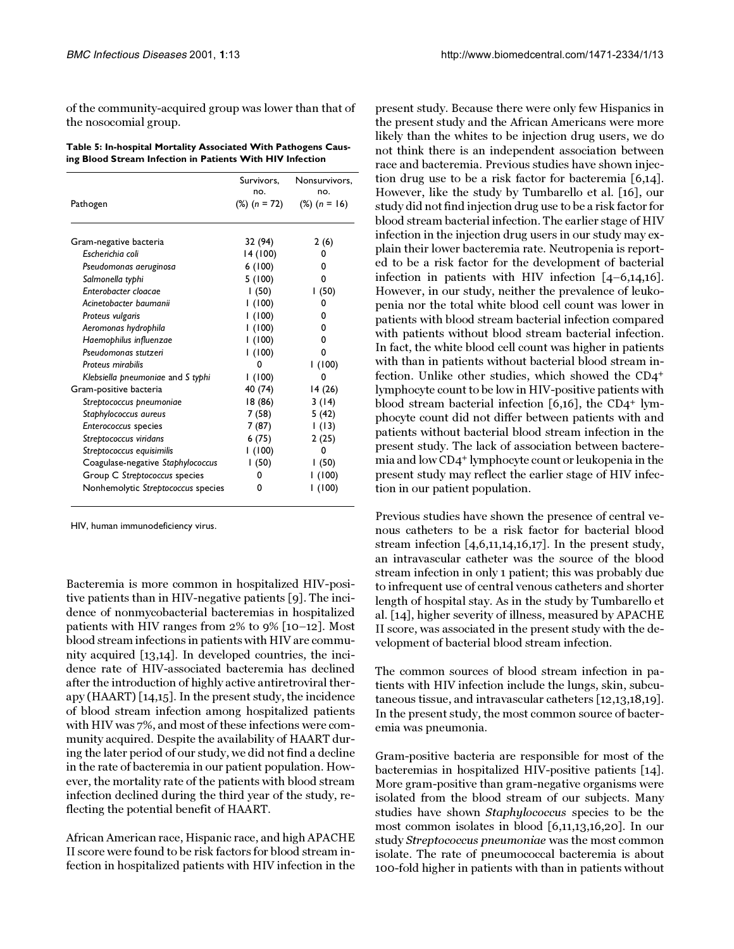of the community-acquired group was lower than that of the nosocomial group.

**Table 5: In-hospital Mortality Associated With Pathogens Causing Blood Stream Infection in Patients With HIV Infection**

|                                    | Survivors,<br>no. | Nonsurvivors,<br>no.<br>$(\%) (n = 16)$ |  |
|------------------------------------|-------------------|-----------------------------------------|--|
| Pathogen                           | $(\%) (n = 72)$   |                                         |  |
| Gram-negative bacteria             | 32 (94)           | 2(6)                                    |  |
| Escherichia coli                   | 14 (100)          | 0                                       |  |
| Pseudomonas aeruginosa             | 6(100)            | 0                                       |  |
| Salmonella typhi                   | 5(100)            | 0                                       |  |
| Enterobacter cloacae               | (50)              | 1(50)                                   |  |
| Acinetobacter baumanii             | (100)             | 0                                       |  |
| Proteus vulgaris                   | I (100)           | 0                                       |  |
| Aeromonas hydrophila               | (100)             | 0                                       |  |
| Haemophilus influenzae             | (100)             | 0                                       |  |
| Pseudomonas stutzeri               | (100)             | 0                                       |  |
| Proteus mirabilis                  | 0                 | 1(100)                                  |  |
| Klebsiella pneumoniae and S typhi  | (100)             | 0                                       |  |
| Gram-positive bacteria             | 40 (74)           | 14(26)                                  |  |
| Streptococcus pneumoniae           | 18 (86)           | 3(14)                                   |  |
| Staphylococcus aureus              | 7 (58)            | 5(42)                                   |  |
| Enterococcus species               | 7 (87)            | (13)                                    |  |
| Streptococcus viridans             | 6 (75)            | 2(25)                                   |  |
| Streptococcus equisimilis          | (100)             | 0                                       |  |
| Coagulase-negative Staphylococcus  | 1(50)             | 1(50)                                   |  |
| Group C Streptococcus species      | 0                 | l (100)                                 |  |
| Nonhemolytic Streptococcus species | 0                 | 1(100)                                  |  |

HIV, human immunodeficiency virus.

Bacteremia is more common in hospitalized HIV-positive patients than in HIV-negative patients [[9](#page-6-2)]. The incidence of nonmycobacterial bacteremias in hospitalized patients with HIV ranges from 2% to 9% [\[10](#page-6-3)[–12](#page-6-4)]. Most blood stream infections in patients with HIV are community acquired [\[13](#page-6-5)[,14](#page-6-6)]. In developed countries, the incidence rate of HIV-associated bacteremia has declined after the introduction of highly active antiretroviral therapy (HAART) [\[14](#page-6-6),[15](#page-6-7)]. In the present study, the incidence of blood stream infection among hospitalized patients with HIV was 7%, and most of these infections were community acquired. Despite the availability of HAART during the later period of our study, we did not find a decline in the rate of bacteremia in our patient population. However, the mortality rate of the patients with blood stream infection declined during the third year of the study, reflecting the potential benefit of HAART.

African American race, Hispanic race, and high APACHE II score were found to be risk factors for blood stream infection in hospitalized patients with HIV infection in the

present study. Because there were only few Hispanics in the present study and the African Americans were more likely than the whites to be injection drug users, we do not think there is an independent association between race and bacteremia. Previous studies have shown injection drug use to be a risk factor for bacteremia [[6](#page-5-5)[,14\]](#page-6-6). However, like the study by Tumbarello et al. [\[16](#page-6-8)], our study did not find injection drug use to be a risk factor for blood stream bacterial infection. The earlier stage of HIV infection in the injection drug users in our study may explain their lower bacteremia rate. Neutropenia is reported to be a risk factor for the development of bacterial infection in patients with HIV infection [[4](#page-5-3)–[6](#page-5-5),[14](#page-6-6)[,16\]](#page-6-8). However, in our study, neither the prevalence of leukopenia nor the total white blood cell count was lower in patients with blood stream bacterial infection compared with patients without blood stream bacterial infection. In fact, the white blood cell count was higher in patients with than in patients without bacterial blood stream infection. Unlike other studies, which showed the CD4+ lymphocyte count to be low in HIV-positive patients with blood stream bacterial infection  $[6,16]$  $[6,16]$  $[6,16]$ , the CD4<sup>+</sup> lymphocyte count did not differ between patients with and patients without bacterial blood stream infection in the present study. The lack of association between bacteremia and low CD4+ lymphocyte count or leukopenia in the present study may reflect the earlier stage of HIV infection in our patient population.

Previous studies have shown the presence of central venous catheters to be a risk factor for bacterial blood stream infection [\[4,](#page-5-3)[6](#page-5-5),[11](#page-6-9),[14](#page-6-6)[,16](#page-6-8)[,17](#page-6-10)]. In the present study, an intravascular catheter was the source of the blood stream infection in only 1 patient; this was probably due to infrequent use of central venous catheters and shorter length of hospital stay. As in the study by Tumbarello et al. [[14](#page-6-6)], higher severity of illness, measured by APACHE II score, was associated in the present study with the development of bacterial blood stream infection.

The common sources of blood stream infection in patients with HIV infection include the lungs, skin, subcutaneous tissue, and intravascular catheters [\[12](#page-6-4)[,13](#page-6-5)[,18](#page-6-11)[,19\]](#page-6-12). In the present study, the most common source of bacteremia was pneumonia.

Gram-positive bacteria are responsible for most of the bacteremias in hospitalized HIV-positive patients [\[14\]](#page-6-6). More gram-positive than gram-negative organisms were isolated from the blood stream of our subjects. Many studies have shown Staphylococcus species to be the most common isolates in blood [[6](#page-5-5),[11](#page-6-9),[13](#page-6-5)[,16,](#page-6-8)[20\]](#page-6-13). In our study Streptococcus pneumoniae was the most common isolate. The rate of pneumococcal bacteremia is about 100-fold higher in patients with than in patients without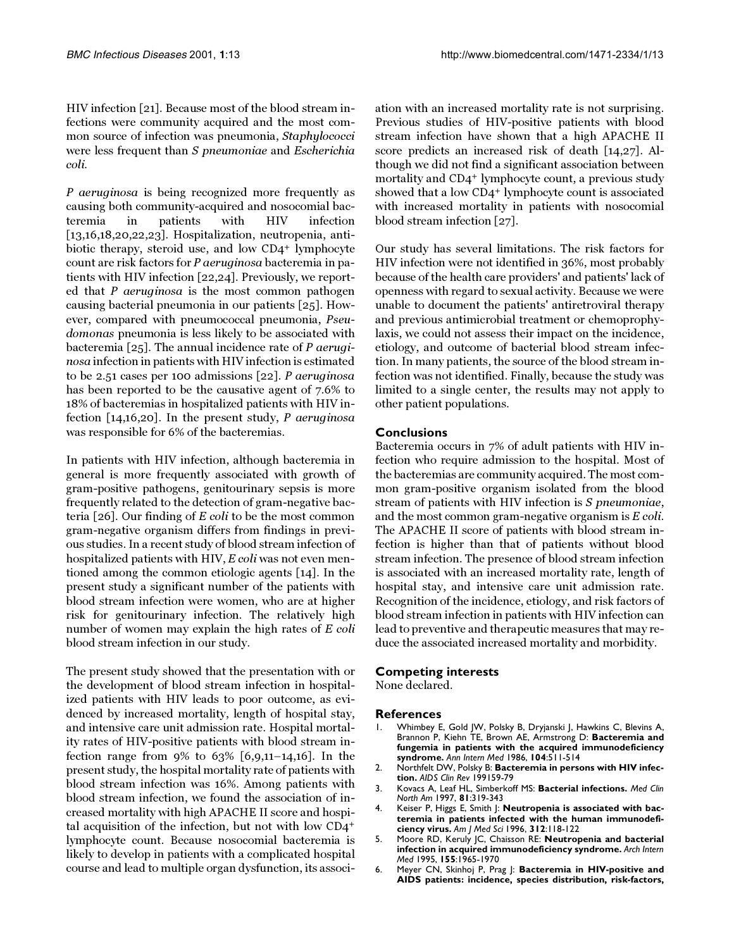HIV infection [[21](#page-6-14)]. Because most of the blood stream infections were community acquired and the most common source of infection was pneumonia, Staphylococci were less frequent than S pneumoniae and Escherichia coli.

P aeruginosa is being recognized more frequently as causing both community-acquired and nosocomial bacteremia in patients with HIV infection [[13](#page-6-5)[,16](#page-6-8)[,18](#page-6-11),[20](#page-6-13)[,22](#page-6-15)[,23](#page-6-16)]. Hospitalization, neutropenia, antibiotic therapy, steroid use, and low CD4<sup>+</sup> lymphocyte count are risk factors for P aeruginosa bacteremia in patients with HIV infection [\[22](#page-6-15),[24](#page-6-17)]. Previously, we reported that P aeruginosa is the most common pathogen causing bacterial pneumonia in our patients [\[25](#page-6-18)]. However, compared with pneumococcal pneumonia, Pseudomonas pneumonia is less likely to be associated with bacteremia [\[25](#page-6-18)]. The annual incidence rate of P aeruginosa infection in patients with HIV infection is estimated to be 2.51 cases per 100 admissions [\[22](#page-6-15)]. P aeruginosa has been reported to be the causative agent of 7.6% to 18% of bacteremias in hospitalized patients with HIV infection [\[14](#page-6-6),[16](#page-6-8)[,20](#page-6-13)]. In the present study, P aeruginosa was responsible for 6% of the bacteremias.

In patients with HIV infection, although bacteremia in general is more frequently associated with growth of gram-positive pathogens, genitourinary sepsis is more frequently related to the detection of gram-negative bacteria [\[26](#page-6-19)]. Our finding of E coli to be the most common gram-negative organism differs from findings in previous studies. In a recent study of blood stream infection of hospitalized patients with HIV, E coli was not even mentioned among the common etiologic agents [[14](#page-6-6)]. In the present study a significant number of the patients with blood stream infection were women, who are at higher risk for genitourinary infection. The relatively high number of women may explain the high rates of E coli blood stream infection in our study.

The present study showed that the presentation with or the development of blood stream infection in hospitalized patients with HIV leads to poor outcome, as evidenced by increased mortality, length of hospital stay, and intensive care unit admission rate. Hospital mortality rates of HIV-positive patients with blood stream infection range from 9% to 63% [[6](#page-5-5)[,9](#page-6-2)[,11](#page-6-9)–[14](#page-6-6)[,16\]](#page-6-8). In the present study, the hospital mortality rate of patients with blood stream infection was 16%. Among patients with blood stream infection, we found the association of increased mortality with high APACHE II score and hospital acquisition of the infection, but not with low CD4+ lymphocyte count. Because nosocomial bacteremia is likely to develop in patients with a complicated hospital course and lead to multiple organ dysfunction, its association with an increased mortality rate is not surprising. Previous studies of HIV-positive patients with blood stream infection have shown that a high APACHE II score predicts an increased risk of death [\[14](#page-6-6),[27](#page-6-20)]. Although we did not find a significant association between mortality and CD4+ lymphocyte count, a previous study showed that a low CD4+ lymphocyte count is associated with increased mortality in patients with nosocomial blood stream infection [[27](#page-6-20)].

Our study has several limitations. The risk factors for HIV infection were not identified in 36%, most probably because of the health care providers' and patients' lack of openness with regard to sexual activity. Because we were unable to document the patients' antiretroviral therapy and previous antimicrobial treatment or chemoprophylaxis, we could not assess their impact on the incidence, etiology, and outcome of bacterial blood stream infection. In many patients, the source of the blood stream infection was not identified. Finally, because the study was limited to a single center, the results may not apply to other patient populations.

## **Conclusions**

Bacteremia occurs in 7% of adult patients with HIV infection who require admission to the hospital. Most of the bacteremias are community acquired. The most common gram-positive organism isolated from the blood stream of patients with HIV infection is S pneumoniae, and the most common gram-negative organism is  $E$  coli. The APACHE II score of patients with blood stream infection is higher than that of patients without blood stream infection. The presence of blood stream infection is associated with an increased mortality rate, length of hospital stay, and intensive care unit admission rate. Recognition of the incidence, etiology, and risk factors of blood stream infection in patients with HIV infection can lead to preventive and therapeutic measures that may reduce the associated increased mortality and morbidity.

## **Competing interests**

None declared.

#### **References**

- <span id="page-5-0"></span>1. [Whimbey E, Gold JW, Polsky B, Dryjanski J, Hawkins C, Blevins A,](http://www.ncbi.nlm.nih.gov/entrez/query.fcgi?cmd=Retrieve&db=PubMed&dopt=Abstract&list_uids=3485396) [Brannon P, Kiehn TE, Brown AE, Armstrong D:](http://www.ncbi.nlm.nih.gov/entrez/query.fcgi?cmd=Retrieve&db=PubMed&dopt=Abstract&list_uids=3485396) **Bacteremia and fungemia in patients with the acquired immunodeficiency syndrome.** *Ann Intern Med* 1986, **104**:511-514
- <span id="page-5-1"></span>2. [Northfelt DW, Polsky B:](http://www.ncbi.nlm.nih.gov/entrez/query.fcgi?cmd=Retrieve&db=PubMed&dopt=Abstract&list_uids=1868011) **Bacteremia in persons with HIV infection.** *AIDS Clin Rev* 199159-79
- <span id="page-5-2"></span>3. [Kovacs A, Leaf HL, Simberkoff MS:](http://www.ncbi.nlm.nih.gov/entrez/query.fcgi?cmd=Retrieve&db=PubMed&dopt=Abstract&list_uids=9093231) **Bacterial infections.** *Med Clin North Am* 1997, **81**:319-343
- <span id="page-5-3"></span>4. [Keiser P, Higgs E, Smith J:](http://www.ncbi.nlm.nih.gov/entrez/query.fcgi?cmd=Retrieve&db=PubMed&dopt=Abstract&list_uids=8783677) **Neutropenia is associated with bacteremia in patients infected with the human immunodeficiency virus.** *Am J Med Sci* 1996, **312**:118-122
- <span id="page-5-4"></span>5. [Moore RD, Keruly JC, Chaisson RE:](http://www.ncbi.nlm.nih.gov/entrez/query.fcgi?cmd=Retrieve&db=PubMed&dopt=Abstract&list_uids=7575050) **Neutropenia and bacterial infection in acquired immunodeficiency syndrome.** *Arch Intern Med* 1995, **155**:1965-1970
- <span id="page-5-5"></span>6. [Meyer CN, Skinhoj P, Prag J:](http://www.ncbi.nlm.nih.gov/entrez/query.fcgi?cmd=Retrieve&db=PubMed&dopt=Abstract&list_uids=7747085) **Bacteremia in HIV-positive and AIDS patients: incidence, species distribution, risk-factors,**